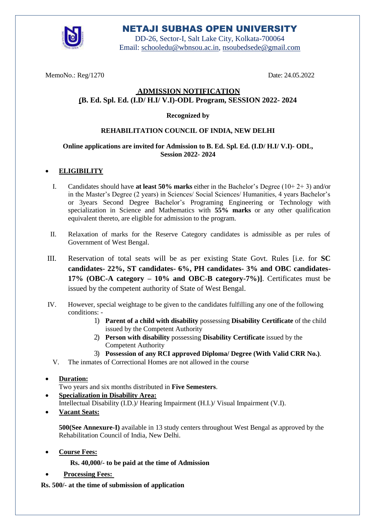

# NETAJI SUBHAS OPEN UNIVERSITY

DD-26, Sector-I, Salt Lake City, Kolkata-700064 Email: [schooledu@wbnsou.ac.in, nsoubedsede@gmail.com](mailto:schooledu@wbnsou.ac.in)

MemoNo.: Reg/1270 Date: 24.05.2022

## **ADMISSION NOTIFICATION (B. Ed. Spl. Ed. (I.D/ H.I/ V.I)-ODL Program, SESSION 2022- 2024**

#### **Recognized by**

#### **REHABILITATION COUNCIL OF INDIA, NEW DELHI**

#### **Online applications are invited for Admission to B. Ed. Spl. Ed. (I.D/ H.I/ V.I)- ODL, Session 2022- 2024**

#### **ELIGIBILITY**

- I. Candidates should have **at least 50% marks** either in the Bachelor's Degree (10+ 2+ 3) and/or in the Master's Degree (2 years) in Sciences/ Social Sciences/ Humanities, 4 years Bachelor's or 3years Second Degree Bachelor's Programing Engineering or Technology with specialization in Science and Mathematics with **55% marks** or any other qualification equivalent thereto, are eligible for admission to the program.
- II. Relaxation of marks for the Reserve Category candidates is admissible as per rules of Government of West Bengal.
- III. Reservation of total seats will be as per existing State Govt. Rules [i.e. for **SC candidates- 22%, ST candidates- 6%, PH candidates- 3% and OBC candidates-17% (OBC-A category – 10% and OBC-B category-7%)]**. Certificates must be issued by the competent authority of State of West Bengal.
- IV. However, special weightage to be given to the candidates fulfilling any one of the following conditions: -
	- 1) **Parent of a child with disability** possessing **Disability Certificate** of the child issued by the Competent Authority
	- 2) **Person with disability** possessing **Disability Certificate** issued by the Competent Authority
	- 3) **Possession of any RCI approved Diploma/ Degree (With Valid CRR No.)**.
	- V. The inmates of Correctional Homes are not allowed in the course

#### **Duration:**

Two years and six months distributed in **Five Semesters**.

- **Specialization in Disability Area:** Intellectual Disability (I.D.)/ Hearing Impairment (H.I.)/ Visual Impairment (V.I).
- **Vacant Seats:**

**500(See Annexure-I)** available in 13 study centers throughout West Bengal as approved by the Rehabilitation Council of India, New Delhi.

- **Course Fees:**
	- **Rs. 40,000/- to be paid at the time of Admission**
- **Processing Fees:**

**Rs. 500/- at the time of submission of application**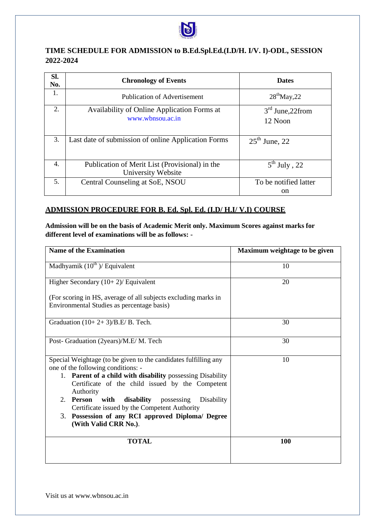

## **TIME SCHEDULE FOR ADMISSION to B.Ed.Spl.Ed.(I.D/H. I/V. I)-ODL, SESSION 2022-2024**

| SI.<br>No. | <b>Chronology of Events</b>                                          | <b>Dates</b>                  |
|------------|----------------------------------------------------------------------|-------------------------------|
| 1.         | <b>Publication of Advertisement</b>                                  | $28^{\text{th}}$ May, 22      |
| 2.         | Availability of Online Application Forms at<br>www.wbnsou.ac.in      | $3rd$ June, 22from<br>12 Noon |
| 3.         | Last date of submission of online Application Forms                  | $25th$ June, 22               |
| 4.         | Publication of Merit List (Provisional) in the<br>University Website | $5^{\text{th}}$ July, 22      |
| 5.         | Central Counseling at SoE, NSOU                                      | To be notified latter<br>on   |

#### **ADMISSION PROCEDURE FOR B. Ed. Spl. Ed. (I.D/ H.I/ V.I) COURSE**

**Admission will be on the basis of Academic Merit only. Maximum Scores against marks for different level of examinations will be as follows: -**

| <b>Name of the Examination</b>                                                                        | Maximum weightage to be given |
|-------------------------------------------------------------------------------------------------------|-------------------------------|
| Madhyamik $(10^{th})$ / Equivalent                                                                    | 10                            |
| Higher Secondary $(10+2)$ / Equivalent                                                                | 20                            |
| (For scoring in HS, average of all subjects excluding marks in                                        |                               |
| Environmental Studies as percentage basis)                                                            |                               |
| Graduation $(10+2+3)/B.E/B$ . Tech.                                                                   | 30                            |
| Post- Graduation (2years)/M.E/M. Tech                                                                 | 30                            |
| Special Weightage (to be given to the candidates fulfilling any<br>one of the following conditions: - | 10                            |
| 1. Parent of a child with disability possessing Disability                                            |                               |
| Certificate of the child issued by the Competent<br>Authority                                         |                               |
| 2. Person with<br>disability<br>possessing<br>Disability                                              |                               |
| Certificate issued by the Competent Authority                                                         |                               |
| 3. Possession of any RCI approved Diploma/ Degree<br>(With Valid CRR No.).                            |                               |
| <b>TOTAL</b>                                                                                          | 100                           |
|                                                                                                       |                               |

Visit us at www.wbnsou.ac.in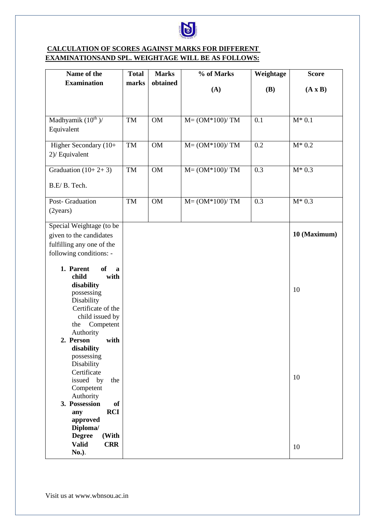

## **CALCULATION OF SCORES AGAINST MARKS FOR DIFFERENT EXAMINATIONSAND SPL. WEIGHTAGE WILL BE AS FOLLOWS:**

| Name of the                            | <b>Total</b> | <b>Marks</b> | % of Marks         | Weightage  | <b>Score</b>   |
|----------------------------------------|--------------|--------------|--------------------|------------|----------------|
| <b>Examination</b>                     | marks        | obtained     |                    |            |                |
|                                        |              |              | (A)                | <b>(B)</b> | $(A \times B)$ |
|                                        |              |              |                    |            |                |
|                                        |              |              |                    |            |                |
| Madhyamik $(10^{th})/$                 | TM           | <b>OM</b>    | $M = (OM*100)/ TM$ | 0.1        | $M^*$ 0.1      |
| Equivalent                             |              |              |                    |            |                |
|                                        |              |              |                    |            |                |
| Higher Secondary (10+                  | TM           | OM           | $M = (OM*100)/ TM$ | 0.2        | $M^*$ 0.2      |
| 2)/ Equivalent                         |              |              |                    |            |                |
|                                        |              |              |                    |            |                |
| Graduation $(10+2+3)$                  | TM           | $OM$         | $M = (OM*100)/ TM$ | 0.3        | $M^* 0.3$      |
|                                        |              |              |                    |            |                |
| B.E/B. Tech.                           |              |              |                    |            |                |
|                                        |              |              |                    |            |                |
| Post- Graduation                       | TM           | <b>OM</b>    | $M = (OM*100)/ TM$ | 0.3        | $M^*$ 0.3      |
| (2years)                               |              |              |                    |            |                |
|                                        |              |              |                    |            |                |
| Special Weightage (to be               |              |              |                    |            |                |
| given to the candidates                |              |              |                    |            | 10 (Maximum)   |
| fulfilling any one of the              |              |              |                    |            |                |
| following conditions: -                |              |              |                    |            |                |
|                                        |              |              |                    |            |                |
| 1. Parent<br><b>of</b><br>$\mathbf{a}$ |              |              |                    |            |                |
| child<br>with                          |              |              |                    |            |                |
| disability                             |              |              |                    |            | 10             |
| possessing                             |              |              |                    |            |                |
| Disability                             |              |              |                    |            |                |
| Certificate of the                     |              |              |                    |            |                |
| child issued by                        |              |              |                    |            |                |
| Competent<br>the                       |              |              |                    |            |                |
| Authority                              |              |              |                    |            |                |
| 2. Person<br>with                      |              |              |                    |            |                |
| disability<br>possessing               |              |              |                    |            |                |
| Disability                             |              |              |                    |            |                |
| Certificate                            |              |              |                    |            |                |
| issued by<br>the                       |              |              |                    |            | 10             |
| Competent                              |              |              |                    |            |                |
| Authority                              |              |              |                    |            |                |
| 3. Possession<br><b>of</b>             |              |              |                    |            |                |
| <b>RCI</b><br>any                      |              |              |                    |            |                |
| approved                               |              |              |                    |            |                |
| Diploma/                               |              |              |                    |            |                |
| <b>Degree</b><br>(With                 |              |              |                    |            |                |
| <b>Valid</b><br><b>CRR</b>             |              |              |                    |            | 10             |
| No.).                                  |              |              |                    |            |                |

Visit us at www.wbnsou.ac.in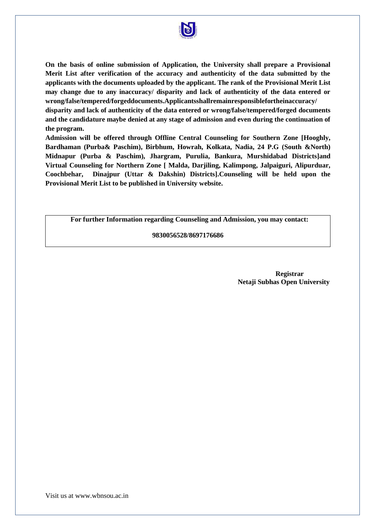

**On the basis of online submission of Application, the University shall prepare a Provisional Merit List after verification of the accuracy and authenticity of the data submitted by the applicants with the documents uploaded by the applicant. The rank of the Provisional Merit List may change due to any inaccuracy/ disparity and lack of authenticity of the data entered or wrong/false/tempered/forgeddocuments.Applicantsshallremainresponsiblefortheinaccuracy/ disparity and lack of authenticity of the data entered or wrong/false/tempered/forged documents and the candidature maybe denied at any stage of admission and even during the continuation of the program.** 

**Admission will be offered through Offline Central Counseling for Southern Zone [Hooghly, Bardhaman (Purba& Paschim), Birbhum, Howrah, Kolkata, Nadia, 24 P.G (South &North) Midnapur (Purba & Paschim), Jhargram, Purulia, Bankura, Murshidabad Districts]and Virtual Counseling for Northern Zone [ Malda, Darjiling, Kalimpong, Jalpaiguri, Alipurduar, Coochbehar, Dinajpur (Uttar & Dakshin) Districts].Counseling will be held upon the Provisional Merit List to be published in University website.**

**For further Information regarding Counseling and Admission, you may contact:**

#### **9830056528/8697176686**

**Registrar Netaji Subhas Open University**

Visit us at www.wbnsou.ac.in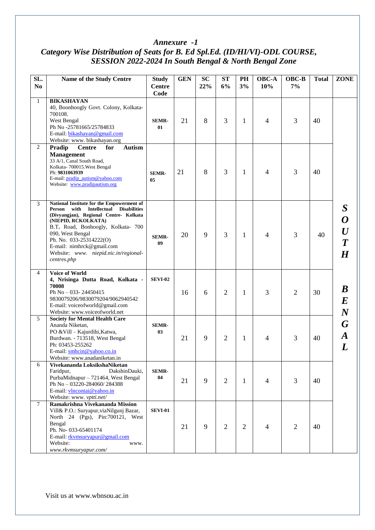### *Annexure -1 Category Wise Distribution of Seats for B. Ed Spl.Ed. (ID/HI/VI)-ODL COURSE, SESSION 2022-2024 In South Bengal & North Bengal Zone*

| SL.<br>N <sub>0</sub> | Name of the Study Centre                                                                                                                                                                                                                                                                                                                             | <b>Study</b><br><b>Centre</b><br>Code | <b>GEN</b> | <b>SC</b><br>22% | <b>ST</b><br>6% | PH<br>3%       | OBC-A<br>10%   | OBC-B<br>7%    | <b>Total</b> | <b>ZONE</b>                                                                                     |
|-----------------------|------------------------------------------------------------------------------------------------------------------------------------------------------------------------------------------------------------------------------------------------------------------------------------------------------------------------------------------------------|---------------------------------------|------------|------------------|-----------------|----------------|----------------|----------------|--------------|-------------------------------------------------------------------------------------------------|
| $\mathbf{1}$          | <b>BIKASHAYAN</b><br>40, Boonhoogly Govt. Colony, Kolkata-<br>700108.<br>West Bengal<br>Ph No-25781665/25784833<br>E-mail: bikashayan@gmail.com<br>Website: www. bikashayan.org                                                                                                                                                                      | <b>SEMR-</b><br>01                    | 21         | 8                | 3               | 1              | 4              | 3              | 40           |                                                                                                 |
| 2                     | <b>Autism</b><br>Pradip<br><b>Centre</b><br>for<br><b>Management</b><br>33 A/1, Canal South Road,<br>Kolkata- 700015. West Bengal<br>Ph: 9831063939<br>E-mail: pradip_autism@yahoo.com<br>Website: www.pradipautism.org                                                                                                                              | <b>SEMR-</b><br>05                    | 21         | 8                | 3               | 1              | 4              | 3              | 40           |                                                                                                 |
| 3                     | National Institute for the Empowerment of<br>with<br><b>Intellectual</b><br><b>Disabilities</b><br>Person<br>(Divyangjan), Regional Centre- Kolkata<br>(NIEPID, RCKOLKATA)<br>B.T. Road, Bonhoogly, Kolkata- 700<br>090, West Bengal<br>Ph. No. 033-25314222(O)<br>E-mail: nimhrck@gmail.com<br>Website: www. niepid.nic.in/regional-<br>centres.php | <b>SEMR-</b><br>09                    | 20         | 9                | 3               | $\mathbf{1}$   | $\overline{4}$ | 3              | 40           | $\boldsymbol{S}$<br>$\begin{array}{c} \bm{O} \ \bm{U} \ \bm{T} \end{array}$<br>$\boldsymbol{H}$ |
| $\overline{4}$        | <b>Voice of World</b><br>4, Nrisinga Dutta Road, Kolkata -<br>70008<br>Ph No - 033-24450415<br>9830079206/9830079204/9062940542<br>E-mail: voiceofworld@gmail.com<br>Website: www.voiceofworld.net                                                                                                                                                   | <b>SEVI-02</b>                        | 16         | 6                | $\overline{2}$  | $\mathbf{1}$   | 3              | 2              | 30           | $\bm{B}$<br>$\bm E$<br>$\boldsymbol{N}$                                                         |
| 5                     | <b>Society for Mental Health Care</b><br>Ananda Niketan,<br>PO & Vill - Kajurdihi, Katwa,<br>Burdwan. - 713518, West Bengal<br>Ph: 03453-255262<br>E-mail: smhcin@yahoo.co.in<br>Website: www.anadaniketan.in                                                                                                                                        | <b>SEMR-</b><br>03                    | 21         | 9                | $\overline{2}$  | 1              | 4              | 3              | 40           | G<br>$\boldsymbol{A}$<br>$\bm{L}$                                                               |
| 6                     | Vivekananda LoksikshaNiketan<br>Faridpur,<br>DakshinDauki,<br>PurbaMidnapur - 721464, West Bengal<br>Ph No - 03220-284060/284388<br>E-mail: vlncontai@yahoo.in<br>Website: www. vptti.net/                                                                                                                                                           | <b>SEMR-</b><br>04                    | 21         | 9                | $\overline{2}$  | $\mathbf{1}$   | 4              | 3              | 40           |                                                                                                 |
| $\tau$                | Ramakrishna Vivekananda Mission<br>Vill& P.O.: Suryapur, viaNilgunj Bazar,<br>North 24 (Pgs), Pin:700121, West<br>Bengal<br>Ph. No-033-65401174<br>E-mail: rkvmsuryapur@gmail.com<br>Website:<br>www.<br>www.rkvmsuryapur.com/                                                                                                                       | <b>SEVI-01</b>                        | 21         | 9                | $\overline{2}$  | $\overline{2}$ | $\overline{4}$ | $\overline{2}$ | 40           |                                                                                                 |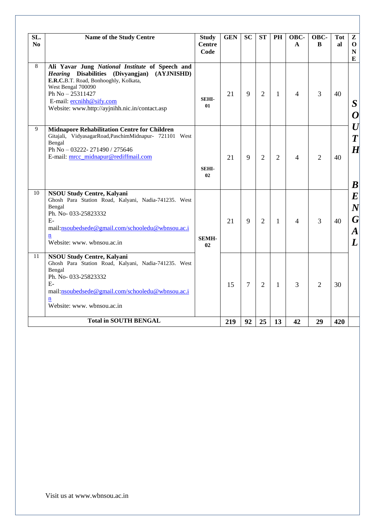| SL.            | Name of the Study Centre                                                                                                                                                                                                                                         | <b>Study</b>          | <b>GEN</b> | <b>SC</b>      | <b>ST</b>      | PH             | OBC-                     | OBC-           | <b>Tot</b> | $\mathbf{z}$                                                      |
|----------------|------------------------------------------------------------------------------------------------------------------------------------------------------------------------------------------------------------------------------------------------------------------|-----------------------|------------|----------------|----------------|----------------|--------------------------|----------------|------------|-------------------------------------------------------------------|
| No             |                                                                                                                                                                                                                                                                  | <b>Centre</b><br>Code |            |                |                |                | $\mathbf{A}$             | B              | al         | $\mathbf 0$<br>$\mathbf N$                                        |
|                |                                                                                                                                                                                                                                                                  |                       |            |                |                |                |                          |                |            | E                                                                 |
| 8              | Ali Yavar Jung National Institute of Speech and<br>Hearing Disabilities (Divyangjan) (AYJNISHD)<br>E.R.C.B.T. Road, Bonhooghly, Kolkata,<br>West Bengal 700090<br>Ph No - 25311427<br>E-mail: ercnihh@sify.com<br>Website: www.http://ayjnihh.nic.in/contact.asp | <b>SEHI-</b><br>01    | 21         | 9              | $\overline{2}$ | 1              | 4                        | 3              | 40         | S<br>0                                                            |
| $\overline{9}$ | <b>Midnapore Rehabilitation Centre for Children</b><br>Gitajali, VidyasagarRoad, PaschimMidnapur- 721101 West<br>Bengal<br>Ph No - 03222-271490 / 275646<br>E-mail: mrcc_midnapur@rediffmail.com                                                                 | <b>SEHI-</b><br>02    | 21         | 9              | $\overline{2}$ | $\overline{2}$ | $\overline{\mathcal{A}}$ | $\overline{2}$ | 40         | $\bm{U}$<br>$\overline{T}$<br>$H \,$<br>$\bm{B}$                  |
| 10             | <b>NSOU Study Centre, Kalyani</b><br>Ghosh Para Station Road, Kalyani, Nadia-741235. West<br>Bengal<br>Ph. No-033-25823332<br>$E-$<br>mail:nsoubedsede@gmail.com/schooledu@wbnsou.ac.i<br>$\mathbf n$<br>Website: www. wbnsou.ac.in                              | <b>SEMH-</b><br>02    | 21         | 9              | $\overline{2}$ | 1              | 4                        | 3              | 40         | $\boldsymbol{E}$<br>$\boldsymbol{N}$<br>G<br>$\bm{A}$<br>$\bm{L}$ |
| 11             | NSOU Study Centre, Kalyani<br>Ghosh Para Station Road, Kalyani, Nadia-741235. West<br>Bengal<br>Ph. No-033-25823332<br>$E-$<br>mail:nsoubedsede@gmail.com/schooledu@wbnsou.ac.i<br>$\mathbf n$<br>Website: www. wbnsou.ac.in                                     |                       | 15         | $\overline{7}$ | $\overline{2}$ | 1              | 3                        | $\overline{2}$ | 30         |                                                                   |
|                | <b>Total in SOUTH BENGAL</b>                                                                                                                                                                                                                                     |                       |            | 92             | 25             | 13             | 42                       | 29             | 420        |                                                                   |